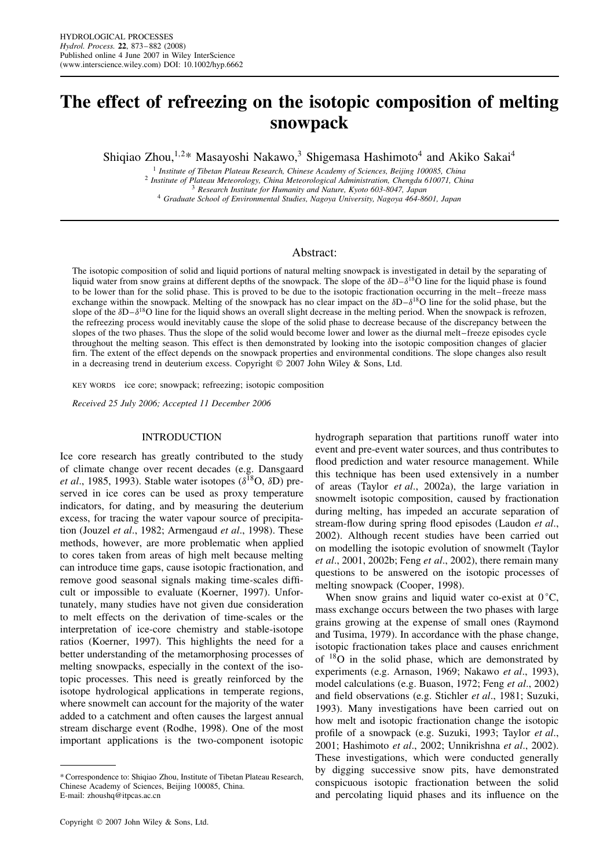# **The effect of refreezing on the isotopic composition of melting snowpack**

Shiqiao Zhou,<sup>1,2\*</sup> Masayoshi Nakawo,<sup>3</sup> Shigemasa Hashimoto<sup>4</sup> and Akiko Sakai<sup>4</sup>

<sup>1</sup> Institute of Tibetan Plateau Research, Chinese Academy of Sciences, Beijing 100085, China<br><sup>2</sup> Institute of Plateau Meteorology, China Meteorological Administration, Chengdu 610071, China<br><sup>3</sup> Research Institute for Hum

## Abstract:

The isotopic composition of solid and liquid portions of natural melting snowpack is investigated in detail by the separating of liquid water from snow grains at different depths of the snowpack. The slope of the  $\delta D-\delta^{18}\tilde{O}$  line for the liquid phase is found to be lower than for the solid phase. This is proved to be due to the isotopic fractionation occurring in the melt–freeze mass exchange within the snowpack. Melting of the snowpack has no clear impact on the  $\delta D - \delta^{18}O$  line for the solid phase, but the slope of the  $\delta D-\delta^{18}O$  line for the liquid shows an overall slight decrease in the melting period. When the snowpack is refrozen, the refreezing process would inevitably cause the slope of the solid phase to decrease because of the discrepancy between the slopes of the two phases. Thus the slope of the solid would become lower and lower as the diurnal melt–freeze episodes cycle throughout the melting season. This effect is then demonstrated by looking into the isotopic composition changes of glacier firn. The extent of the effect depends on the snowpack properties and environmental conditions. The slope changes also result in a decreasing trend in deuterium excess. Copyright  $\odot$  2007 John Wiley & Sons, Ltd.

KEY WORDS ice core; snowpack; refreezing; isotopic composition

*Received 25 July 2006; Accepted 11 December 2006*

# INTRODUCTION

Ice core research has greatly contributed to the study of climate change over recent decades (e.g. Dansgaard *et al.*, 1985, 1993). Stable water isotopes ( $\delta^{18}$ O,  $\delta$ D) preserved in ice cores can be used as proxy temperature indicators, for dating, and by measuring the deuterium excess, for tracing the water vapour source of precipitation (Jouzel *et al*., 1982; Armengaud *et al*., 1998). These methods, however, are more problematic when applied to cores taken from areas of high melt because melting can introduce time gaps, cause isotopic fractionation, and remove good seasonal signals making time-scales difficult or impossible to evaluate (Koerner, 1997). Unfortunately, many studies have not given due consideration to melt effects on the derivation of time-scales or the interpretation of ice-core chemistry and stable-isotope ratios (Koerner, 1997). This highlights the need for a better understanding of the metamorphosing processes of melting snowpacks, especially in the context of the isotopic processes. This need is greatly reinforced by the isotope hydrological applications in temperate regions, where snowmelt can account for the majority of the water added to a catchment and often causes the largest annual stream discharge event (Rodhe, 1998). One of the most important applications is the two-component isotopic

hydrograph separation that partitions runoff water into event and pre-event water sources, and thus contributes to flood prediction and water resource management. While this technique has been used extensively in a number of areas (Taylor *et al*., 2002a), the large variation in snowmelt isotopic composition, caused by fractionation during melting, has impeded an accurate separation of stream-flow during spring flood episodes (Laudon *et al*., 2002). Although recent studies have been carried out on modelling the isotopic evolution of snowmelt (Taylor *et al*., 2001, 2002b; Feng *et al*., 2002), there remain many questions to be answered on the isotopic processes of melting snowpack (Cooper, 1998).

When snow grains and liquid water co-exist at  $0^{\circ}$ C, mass exchange occurs between the two phases with large grains growing at the expense of small ones (Raymond and Tusima, 1979). In accordance with the phase change, isotopic fractionation takes place and causes enrichment of 18O in the solid phase, which are demonstrated by experiments (e.g. Arnason, 1969; Nakawo *et al*., 1993), model calculations (e.g. Buason, 1972; Feng *et al*., 2002) and field observations (e.g. Stichler *et al*., 1981; Suzuki, 1993). Many investigations have been carried out on how melt and isotopic fractionation change the isotopic profile of a snowpack (e.g. Suzuki, 1993; Taylor *et al*., 2001; Hashimoto *et al*., 2002; Unnikrishna *et al*., 2002). These investigations, which were conducted generally by digging successive snow pits, have demonstrated conspicuous isotopic fractionation between the solid and percolating liquid phases and its influence on the

<sup>\*</sup> Correspondence to: Shiqiao Zhou, Institute of Tibetan Plateau Research, Chinese Academy of Sciences, Beijing 100085, China. E-mail: zhoushq@itpcas.ac.cn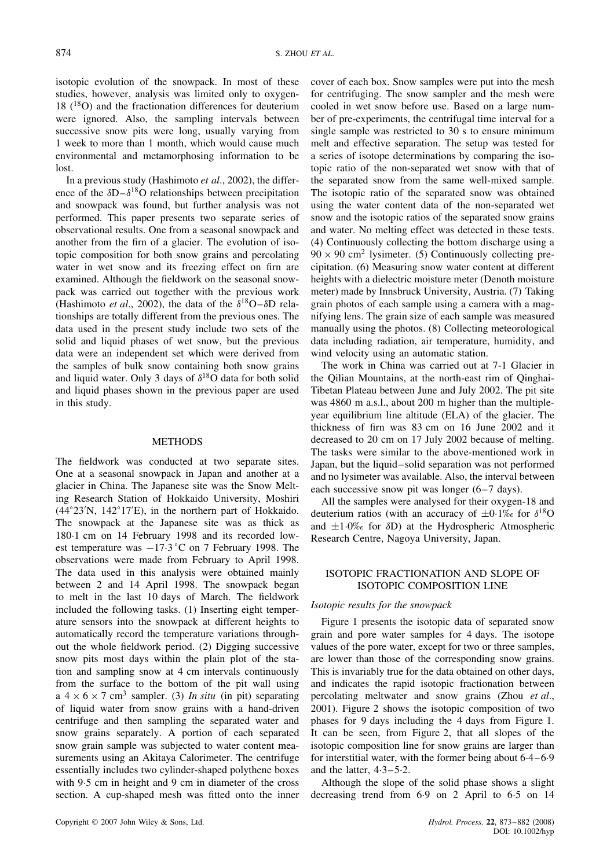isotopic evolution of the snowpack. In most of these studies, however, analysis was limited only to oxygen- $18$  ( $^{18}$ O) and the fractionation differences for deuterium were ignored. Also, the sampling intervals between successive snow pits were long, usually varying from 1 week to more than 1 month, which would cause much environmental and metamorphosing information to be lost.

In a previous study (Hashimoto *et al*., 2002), the difference of the  $\delta D - \delta^{18}O$  relationships between precipitation and snowpack was found, but further analysis was not performed. This paper presents two separate series of observational results. One from a seasonal snowpack and another from the firn of a glacier. The evolution of isotopic composition for both snow grains and percolating water in wet snow and its freezing effect on firn are examined. Although the fieldwork on the seasonal snowpack was carried out together with the previous work (Hashimoto *et al.*, 2002), the data of the  $\delta^{18}O-\delta D$  relationships are totally different from the previous ones. The data used in the present study include two sets of the solid and liquid phases of wet snow, but the previous data were an independent set which were derived from the samples of bulk snow containing both snow grains and liquid water. Only 3 days of  $\delta^{18}$ O data for both solid and liquid phases shown in the previous paper are used in this study.

#### METHODS

The fieldwork was conducted at two separate sites. One at a seasonal snowpack in Japan and another at a glacier in China. The Japanese site was the Snow Melting Research Station of Hokkaido University, Moshiri (44°23'N, 142°17'E), in the northern part of Hokkaido. The snowpack at the Japanese site was as thick as 180 $\cdot$ 1 cm on 14 February 1998 and its recorded lowest temperature was  $-17.3$  °C on 7 February 1998. The observations were made from February to April 1998. The data used in this analysis were obtained mainly between 2 and 14 April 1998. The snowpack began to melt in the last 10 days of March. The fieldwork included the following tasks. (1) Inserting eight temperature sensors into the snowpack at different heights to automatically record the temperature variations throughout the whole fieldwork period. (2) Digging successive snow pits most days within the plain plot of the station and sampling snow at 4 cm intervals continuously from the surface to the bottom of the pit wall using a  $4 \times 6 \times 7$  cm<sup>3</sup> sampler. (3) *In situ* (in pit) separating of liquid water from snow grains with a hand-driven centrifuge and then sampling the separated water and snow grains separately. A portion of each separated snow grain sample was subjected to water content measurements using an Akitaya Calorimeter. The centrifuge essentially includes two cylinder-shaped polythene boxes with 9.5 cm in height and 9 cm in diameter of the cross section. A cup-shaped mesh was fitted onto the inner cover of each box. Snow samples were put into the mesh for centrifuging. The snow sampler and the mesh were cooled in wet snow before use. Based on a large number of pre-experiments, the centrifugal time interval for a single sample was restricted to 30 s to ensure minimum melt and effective separation. The setup was tested for a series of isotope determinations by comparing the isotopic ratio of the non-separated wet snow with that of the separated snow from the same well-mixed sample. The isotopic ratio of the separated snow was obtained using the water content data of the non-separated wet snow and the isotopic ratios of the separated snow grains and water. No melting effect was detected in these tests. (4) Continuously collecting the bottom discharge using a  $90 \times 90$  cm<sup>2</sup> lysimeter. (5) Continuously collecting precipitation. (6) Measuring snow water content at different heights with a dielectric moisture meter (Denoth moisture meter) made by Innsbruck University, Austria. (7) Taking grain photos of each sample using a camera with a magnifying lens. The grain size of each sample was measured manually using the photos. (8) Collecting meteorological data including radiation, air temperature, humidity, and wind velocity using an automatic station.

The work in China was carried out at 7-1 Glacier in the Qilian Mountains, at the north-east rim of Qinghai-Tibetan Plateau between June and July 2002. The pit site was 4860 m a.s.l., about 200 m higher than the multipleyear equilibrium line altitude (ELA) of the glacier. The thickness of firn was 83 cm on 16 June 2002 and it decreased to 20 cm on 17 July 2002 because of melting. The tasks were similar to the above-mentioned work in Japan, but the liquid–solid separation was not performed and no lysimeter was available. Also, the interval between each successive snow pit was longer (6–7 days).

All the samples were analysed for their oxygen-18 and deuterium ratios (with an accuracy of  $\pm 0.1\%$  for  $\delta^{18}$ O and  $\pm 1.0\%$  for  $\delta D$ ) at the Hydrospheric Atmospheric Research Centre, Nagoya University, Japan.

# ISOTOPIC FRACTIONATION AND SLOPE OF ISOTOPIC COMPOSITION LINE

# *Isotopic results for the snowpack*

Figure 1 presents the isotopic data of separated snow grain and pore water samples for 4 days. The isotope values of the pore water, except for two or three samples, are lower than those of the corresponding snow grains. This is invariably true for the data obtained on other days, and indicates the rapid isotopic fractionation between percolating meltwater and snow grains (Zhou *et al*., 2001). Figure 2 shows the isotopic composition of two phases for 9 days including the 4 days from Figure 1. It can be seen, from Figure 2, that all slopes of the isotopic composition line for snow grains are larger than for interstitial water, with the former being about  $6.4-6.9$ and the latter,  $4.3-5.2$ .

Although the slope of the solid phase shows a slight decreasing trend from 6.9 on 2 April to 6.5 on 14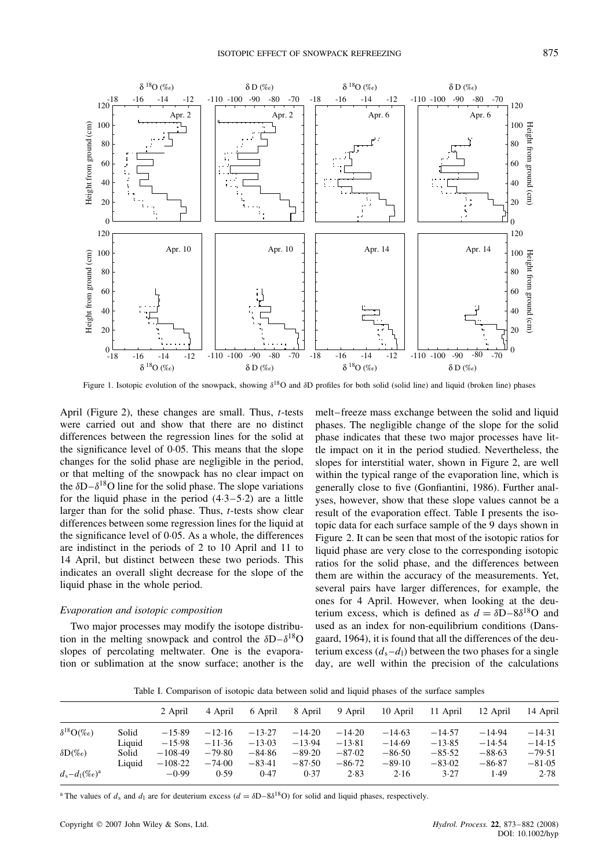

Figure 1. Isotopic evolution of the snowpack, showing  $\delta^{18}$ O and  $\delta$ D profiles for both solid (solid line) and liquid (broken line) phases

April (Figure 2), these changes are small. Thus, t-tests were carried out and show that there are no distinct differences between the regression lines for the solid at the significance level of  $0.05$ . This means that the slope changes for the solid phase are negligible in the period, or that melting of the snowpack has no clear impact on the  $\delta D - \delta^{18}O$  line for the solid phase. The slope variations for the liquid phase in the period  $(4.3-5.2)$  are a little larger than for the solid phase. Thus, *t*-tests show clear differences between some regression lines for the liquid at the significance level of  $0.05$ . As a whole, the differences are indistinct in the periods of 2 to 10 April and 11 to 14 April, but distinct between these two periods. This indicates an overall slight decrease for the slope of the liquid phase in the whole period.

#### *Evaporation and isotopic composition*

Two major processes may modify the isotope distribution in the melting snowpack and control the  $\delta D - \delta^{18}O$ slopes of percolating meltwater. One is the evaporation or sublimation at the snow surface; another is the melt–freeze mass exchange between the solid and liquid phases. The negligible change of the slope for the solid phase indicates that these two major processes have little impact on it in the period studied. Nevertheless, the slopes for interstitial water, shown in Figure 2, are well within the typical range of the evaporation line, which is generally close to five (Gonfiantini, 1986). Further analyses, however, show that these slope values cannot be a result of the evaporation effect. Table I presents the isotopic data for each surface sample of the 9 days shown in Figure 2. It can be seen that most of the isotopic ratios for liquid phase are very close to the corresponding isotopic ratios for the solid phase, and the differences between them are within the accuracy of the measurements. Yet, several pairs have larger differences, for example, the ones for 4 April. However, when looking at the deuterium excess, which is defined as  $d = \delta D - 8\delta^{18}O$  and used as an index for non-equilibrium conditions (Dansgaard, 1964), it is found that all the differences of the deuterium excess  $(d_s - d_l)$  between the two phases for a single day, are well within the precision of the calculations

Table I. Comparison of isotopic data between solid and liquid phases of the surface samples

|                         |        | 2 April   | 4 April  | 6 April  | 8 April  | 9 April  | 10 April | 11 April | 12 April | 14 April |
|-------------------------|--------|-----------|----------|----------|----------|----------|----------|----------|----------|----------|
| $\delta^{18}O(\%_0)$    | Solid  | $-15.89$  | $-12.16$ | $-13.27$ | $-14.20$ | $-14.20$ | $-14.63$ | $-14.57$ | $-14.94$ | $-14.31$ |
|                         | Liquid | $-15.98$  | $-11.36$ | $-13.03$ | $-13.94$ | $-13.81$ | $-14.69$ | $-13.85$ | $-14.54$ | $-14.15$ |
| $\delta\mathbf{D}(\%o)$ | Solid  | $-108.49$ | $-79.80$ | $-84.86$ | $-89.20$ | $-87.02$ | $-86.50$ | $-85.52$ | $-88.63$ | $-79.51$ |
|                         | Liquid | $-108.22$ | $-74.00$ | $-83.41$ | $-87.50$ | $-86-72$ | $-89.10$ | $-83.02$ | $-86.87$ | $-81.05$ |
| $d_s - d_1 (\%_0)^a$    |        | $-0.99$   | 0.59     | 0.47     | 0.37     | 2.83     | 2.16     | 3.27     | 1.49     | 2.78     |

<sup>a</sup> The values of  $d_s$  and  $d_1$  are for deuterium excess ( $d = \delta D - 8\delta^{18}O$ ) for solid and liquid phases, respectively.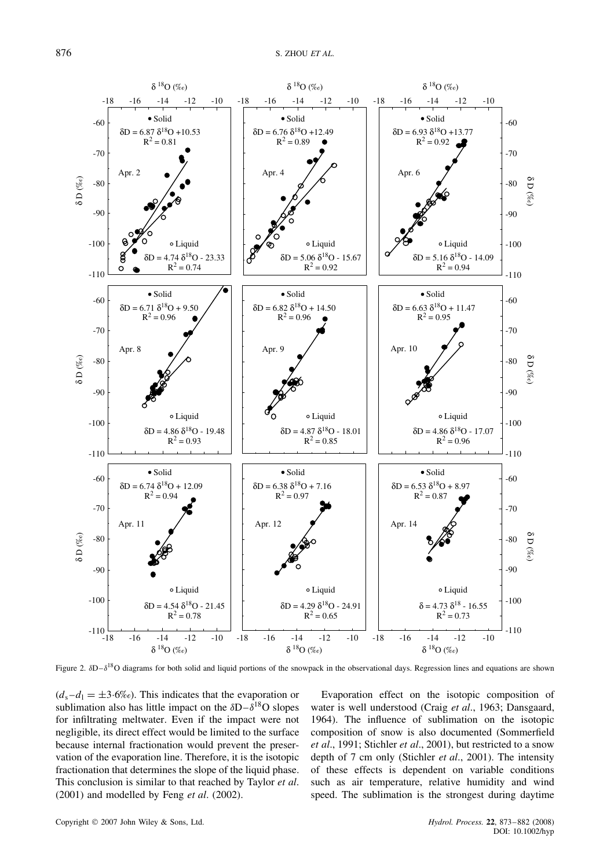

Figure 2.  $\delta D-\delta^{18}O$  diagrams for both solid and liquid portions of the snowpack in the observational days. Regression lines and equations are shown

 $(d_s - d_l = \pm 3.6\%)$ . This indicates that the evaporation or sublimation also has little impact on the  $\delta D - \delta^{18}O$  slopes for infiltrating meltwater. Even if the impact were not negligible, its direct effect would be limited to the surface because internal fractionation would prevent the preservation of the evaporation line. Therefore, it is the isotopic fractionation that determines the slope of the liquid phase. This conclusion is similar to that reached by Taylor *et al*. (2001) and modelled by Feng *et al*. (2002).

Evaporation effect on the isotopic composition of water is well understood (Craig *et al*., 1963; Dansgaard, 1964). The influence of sublimation on the isotopic composition of snow is also documented (Sommerfield *et al*., 1991; Stichler *et al*., 2001), but restricted to a snow depth of 7 cm only (Stichler *et al*., 2001). The intensity of these effects is dependent on variable conditions such as air temperature, relative humidity and wind speed. The sublimation is the strongest during daytime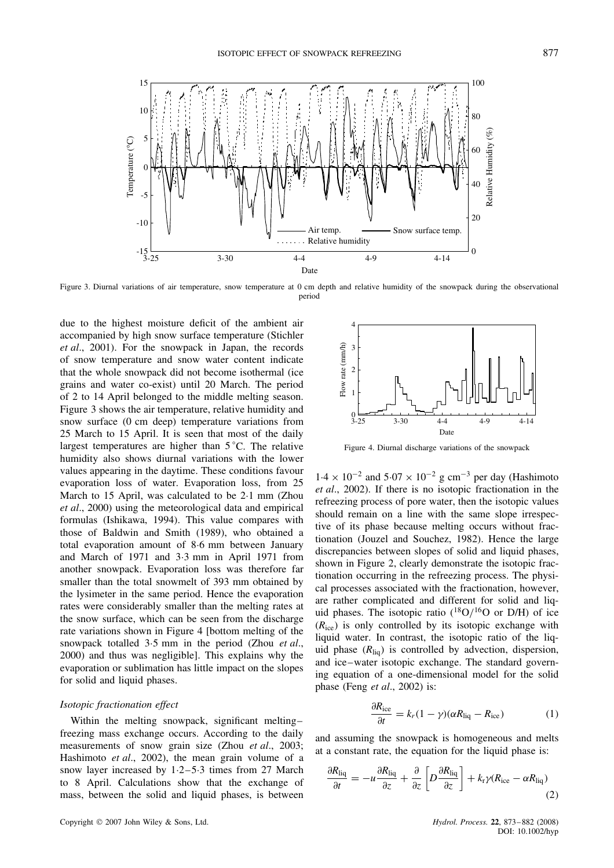

Figure 3. Diurnal variations of air temperature, snow temperature at 0 cm depth and relative humidity of the snowpack during the observational period

due to the highest moisture deficit of the ambient air accompanied by high snow surface temperature (Stichler *et al*., 2001). For the snowpack in Japan, the records of snow temperature and snow water content indicate that the whole snowpack did not become isothermal (ice grains and water co-exist) until 20 March. The period of 2 to 14 April belonged to the middle melting season. Figure 3 shows the air temperature, relative humidity and snow surface (0 cm deep) temperature variations from 25 March to 15 April. It is seen that most of the daily largest temperatures are higher than 5 °C. The relative humidity also shows diurnal variations with the lower values appearing in the daytime. These conditions favour evaporation loss of water. Evaporation loss, from 25 March to 15 April, was calculated to be  $2.1 \text{ mm}$  (Zhou *et al*., 2000) using the meteorological data and empirical formulas (Ishikawa, 1994). This value compares with those of Baldwin and Smith (1989), who obtained a total evaporation amount of 8Ð6 mm between January and March of 1971 and 3.3 mm in April 1971 from another snowpack. Evaporation loss was therefore far smaller than the total snowmelt of 393 mm obtained by the lysimeter in the same period. Hence the evaporation rates were considerably smaller than the melting rates at the snow surface, which can be seen from the discharge rate variations shown in Figure 4 [bottom melting of the snowpack totalled 3.5 mm in the period (Zhou *et al.*, 2000) and thus was negligible]. This explains why the evaporation or sublimation has little impact on the slopes for solid and liquid phases.

## *Isotopic fractionation effect*

Within the melting snowpack, significant melting– freezing mass exchange occurs. According to the daily measurements of snow grain size (Zhou *et al*., 2003; Hashimoto *et al*., 2002), the mean grain volume of a snow layer increased by  $1.2-5.3$  times from 27 March to 8 April. Calculations show that the exchange of mass, between the solid and liquid phases, is between



Figure 4. Diurnal discharge variations of the snowpack

 $1.4 \times 10^{-2}$  and  $5.07 \times 10^{-2}$  g cm<sup>-3</sup> per day (Hashimoto *et al*., 2002). If there is no isotopic fractionation in the refreezing process of pore water, then the isotopic values should remain on a line with the same slope irrespective of its phase because melting occurs without fractionation (Jouzel and Souchez, 1982). Hence the large discrepancies between slopes of solid and liquid phases, shown in Figure 2, clearly demonstrate the isotopic fractionation occurring in the refreezing process. The physical processes associated with the fractionation, however, are rather complicated and different for solid and liquid phases. The isotopic ratio  $(^{18}O/^{16}O$  or D/H) of ice  $(R<sub>ice</sub>)$  is only controlled by its isotopic exchange with liquid water. In contrast, the isotopic ratio of the liquid phase  $(R_{\text{liq}})$  is controlled by advection, dispersion, and ice–water isotopic exchange. The standard governing equation of a one-dimensional model for the solid phase (Feng *et al*., 2002) is:

$$
\frac{\partial R_{\text{ice}}}{\partial t} = k_r (1 - \gamma) (\alpha R_{\text{liq}} - R_{\text{ice}}) \tag{1}
$$

and assuming the snowpack is homogeneous and melts at a constant rate, the equation for the liquid phase is:

$$
\frac{\partial R_{\text{liq}}}{\partial t} = -u \frac{\partial R_{\text{liq}}}{\partial z} + \frac{\partial}{\partial z} \left[ D \frac{\partial R_{\text{liq}}}{\partial z} \right] + k_{\text{r}} \gamma (R_{\text{ice}} - \alpha R_{\text{liq}}) \tag{2}
$$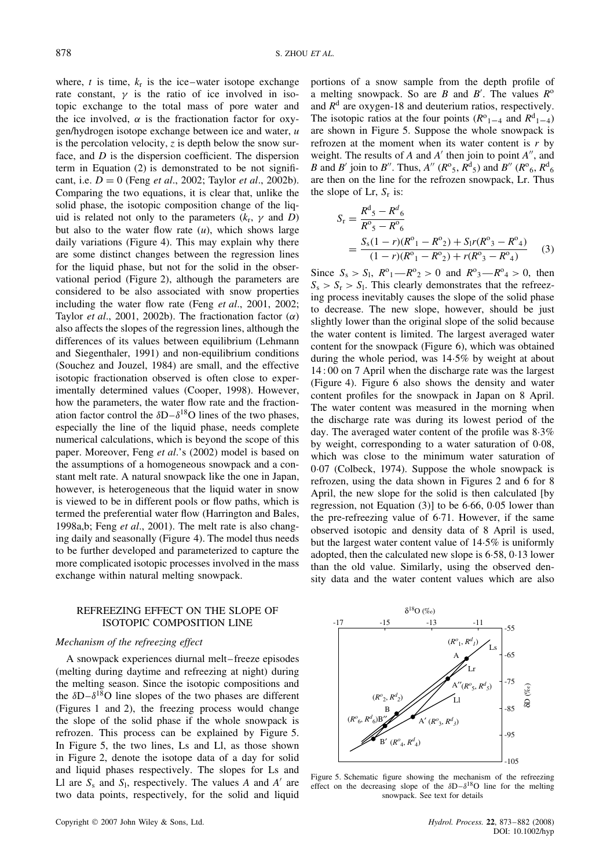where, t is time,  $k_r$  is the ice–water isotope exchange rate constant,  $\gamma$  is the ratio of ice involved in isotopic exchange to the total mass of pore water and the ice involved,  $\alpha$  is the fractionation factor for oxygen/hydrogen isotope exchange between ice and water, u is the percolation velocity, z is depth below the snow surface, and D is the dispersion coefficient. The dispersion term in Equation (2) is demonstrated to be not significant, i.e.  $D = 0$  (Feng *et al.*, 2002; Taylor *et al.*, 2002b). Comparing the two equations, it is clear that, unlike the solid phase, the isotopic composition change of the liquid is related not only to the parameters  $(k_r, \gamma \text{ and } D)$ but also to the water flow rate  $(u)$ , which shows large daily variations (Figure 4). This may explain why there are some distinct changes between the regression lines for the liquid phase, but not for the solid in the observational period (Figure 2), although the parameters are considered to be also associated with snow properties including the water flow rate (Feng *et al*., 2001, 2002; Taylor *et al.*, 2001, 2002b). The fractionation factor  $(\alpha)$ also affects the slopes of the regression lines, although the differences of its values between equilibrium (Lehmann and Siegenthaler, 1991) and non-equilibrium conditions (Souchez and Jouzel, 1984) are small, and the effective isotopic fractionation observed is often close to experimentally determined values (Cooper, 1998). However, how the parameters, the water flow rate and the fractionation factor control the  $\delta D - \delta^{18}O$  lines of the two phases, especially the line of the liquid phase, needs complete numerical calculations, which is beyond the scope of this paper. Moreover, Feng *et al*.'s (2002) model is based on the assumptions of a homogeneous snowpack and a constant melt rate. A natural snowpack like the one in Japan, however, is heterogeneous that the liquid water in snow is viewed to be in different pools or flow paths, which is termed the preferential water flow (Harrington and Bales, 1998a,b; Feng *et al*., 2001). The melt rate is also changing daily and seasonally (Figure 4). The model thus needs to be further developed and parameterized to capture the more complicated isotopic processes involved in the mass exchange within natural melting snowpack.

# REFREEZING EFFECT ON THE SLOPE OF ISOTOPIC COMPOSITION LINE

#### *Mechanism of the refreezing effect*

A snowpack experiences diurnal melt–freeze episodes (melting during daytime and refreezing at night) during the melting season. Since the isotopic compositions and the  $\delta D - \delta^{18}O$  line slopes of the two phases are different (Figures 1 and 2), the freezing process would change the slope of the solid phase if the whole snowpack is refrozen. This process can be explained by Figure 5. In Figure 5, the two lines, Ls and Ll, as those shown in Figure 2, denote the isotope data of a day for solid and liquid phases respectively. The slopes for Ls and Ll are  $S_s$  and  $S_l$ , respectively. The values A and A' are two data points, respectively, for the solid and liquid

portions of a snow sample from the depth profile of a melting snowpack. So are B and B'. The values  $R^{\circ}$ and  $R<sup>d</sup>$  are oxygen-18 and deuterium ratios, respectively. The isotopic ratios at the four points  $(R^{\circ}_{1-4}$  and  $R^d_{1-4})$ are shown in Figure 5. Suppose the whole snowpack is refrozen at the moment when its water content is  $r$  by weight. The results of A and A' then join to point  $A''$ , and *B* and *B'* join to *B''*. Thus,  $A''(R^{\circ}_5, R^d_5)$  and  $B''(R^{\circ}_6, R^d_6)$ are then on the line for the refrozen snowpack, Lr. Thus the slope of Lr,  $S_r$  is:

$$
S_r = \frac{R^d{}_5 - R^d{}_6}{R^o{}_5 - R^o{}_6}
$$
  
= 
$$
\frac{S_s(1-r)(R^o{}_1 - R^o{}_2) + S_1r(R^o{}_3 - R^o{}_4)}{(1-r)(R^o{}_1 - R^o{}_2) + r(R^o{}_3 - R^o{}_4)}
$$
 (3)

Since  $S_s > S_1$ ,  $R^0_1 - R^0_2 > 0$  and  $R^0_3 - R^0_4 > 0$ , then  $S_s > S_r > S_l$ . This clearly demonstrates that the refreezing process inevitably causes the slope of the solid phase to decrease. The new slope, however, should be just slightly lower than the original slope of the solid because the water content is limited. The largest averaged water content for the snowpack (Figure 6), which was obtained during the whole period, was  $14.5\%$  by weight at about 14 : 00 on 7 April when the discharge rate was the largest (Figure 4). Figure 6 also shows the density and water content profiles for the snowpack in Japan on 8 April. The water content was measured in the morning when the discharge rate was during its lowest period of the day. The averaged water content of the profile was  $8.3\%$ by weight, corresponding to a water saturation of 0 $\cdot$ 08, which was close to the minimum water saturation of 0Ð07 (Colbeck, 1974). Suppose the whole snowpack is refrozen, using the data shown in Figures 2 and 6 for 8 April, the new slope for the solid is then calculated [by regression, not Equation  $(3)$ ] to be 6.66, 0.05 lower than the pre-refreezing value of  $6.71$ . However, if the same observed isotopic and density data of 8 April is used, but the largest water content value of 14Ð5% is uniformly adopted, then the calculated new slope is 6.58, 0.13 lower than the old value. Similarly, using the observed density data and the water content values which are also



Figure 5. Schematic figure showing the mechanism of the refreezing effect on the decreasing slope of the  $\delta D - \delta^{18}O$  line for the melting snowpack. See text for details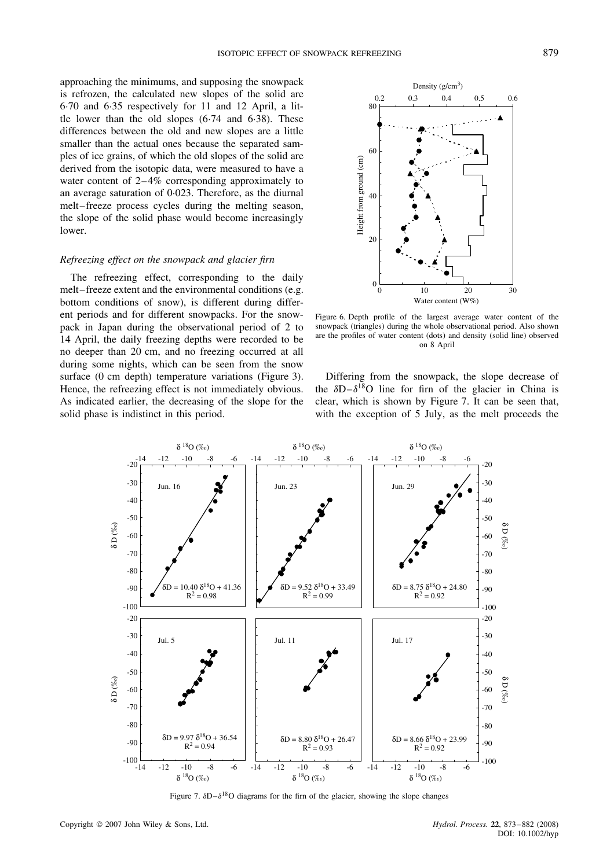approaching the minimums, and supposing the snowpack is refrozen, the calculated new slopes of the solid are 6Ð70 and 6Ð35 respectively for 11 and 12 April, a little lower than the old slopes  $(6.74 \text{ and } 6.38)$ . These differences between the old and new slopes are a little smaller than the actual ones because the separated samples of ice grains, of which the old slopes of the solid are derived from the isotopic data, were measured to have a water content of 2–4% corresponding approximately to an average saturation of 0.023. Therefore, as the diurnal melt–freeze process cycles during the melting season, the slope of the solid phase would become increasingly lower.

# *Refreezing effect on the snowpack and glacier firn*

The refreezing effect, corresponding to the daily melt–freeze extent and the environmental conditions (e.g. bottom conditions of snow), is different during different periods and for different snowpacks. For the snowpack in Japan during the observational period of 2 to 14 April, the daily freezing depths were recorded to be no deeper than 20 cm, and no freezing occurred at all during some nights, which can be seen from the snow surface (0 cm depth) temperature variations (Figure 3). Hence, the refreezing effect is not immediately obvious. As indicated earlier, the decreasing of the slope for the solid phase is indistinct in this period.



Figure 6. Depth profile of the largest average water content of the snowpack (triangles) during the whole observational period. Also shown are the profiles of water content (dots) and density (solid line) observed on 8 April

Differing from the snowpack, the slope decrease of the  $\delta D - \delta^{18}O$  line for firm of the glacier in China is clear, which is shown by Figure 7. It can be seen that, with the exception of 5 July, as the melt proceeds the



Figure 7.  $\delta D - \delta^{18}O$  diagrams for the firn of the glacier, showing the slope changes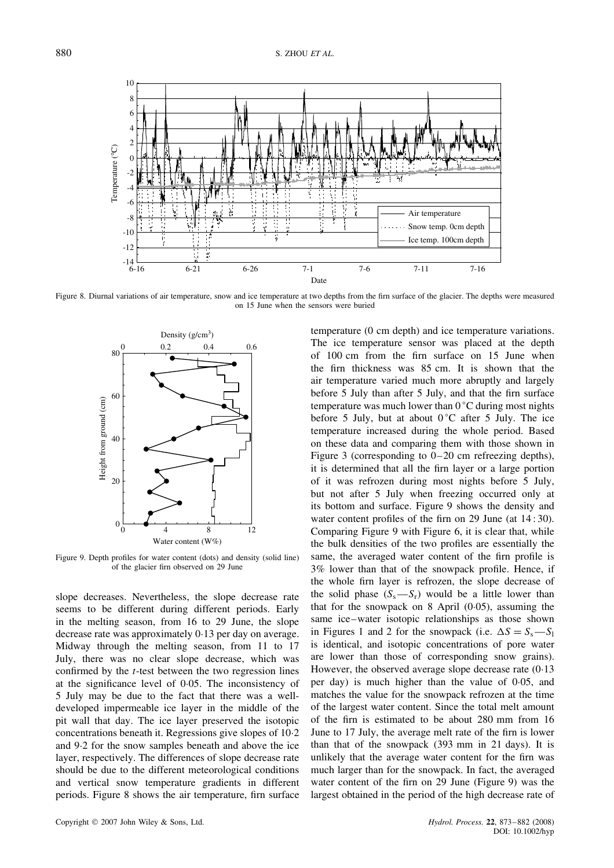

Figure 8. Diurnal variations of air temperature, snow and ice temperature at two depths from the firn surface of the glacier. The depths were measured on 15 June when the sensors were buried



Figure 9. Depth profiles for water content (dots) and density (solid line) of the glacier firn observed on 29 June

slope decreases. Nevertheless, the slope decrease rate seems to be different during different periods. Early in the melting season, from 16 to 29 June, the slope decrease rate was approximately 0.13 per day on average. Midway through the melting season, from 11 to 17 July, there was no clear slope decrease, which was confirmed by the  $t$ -test between the two regression lines at the significance level of 0.05. The inconsistency of 5 July may be due to the fact that there was a welldeveloped impermeable ice layer in the middle of the pit wall that day. The ice layer preserved the isotopic concentrations beneath it. Regressions give slopes of 10 $-2$ and 9.2 for the snow samples beneath and above the ice layer, respectively. The differences of slope decrease rate should be due to the different meteorological conditions and vertical snow temperature gradients in different periods. Figure 8 shows the air temperature, firn surface

temperature (0 cm depth) and ice temperature variations. The ice temperature sensor was placed at the depth of 100 cm from the firn surface on 15 June when the firn thickness was 85 cm. It is shown that the air temperature varied much more abruptly and largely before 5 July than after 5 July, and that the firn surface temperature was much lower than  $0^{\circ}$ C during most nights before 5 July, but at about  $0^{\circ}$ C after 5 July. The ice temperature increased during the whole period. Based on these data and comparing them with those shown in Figure 3 (corresponding to 0–20 cm refreezing depths), it is determined that all the firn layer or a large portion of it was refrozen during most nights before 5 July, but not after 5 July when freezing occurred only at its bottom and surface. Figure 9 shows the density and water content profiles of the firn on 29 June (at 14 : 30). Comparing Figure 9 with Figure 6, it is clear that, while the bulk densities of the two profiles are essentially the same, the averaged water content of the firn profile is 3% lower than that of the snowpack profile. Hence, if the whole firn layer is refrozen, the slope decrease of the solid phase  $(S_s - S_r)$  would be a little lower than that for the snowpack on  $8$  April (0 $\cdot$ 05), assuming the same ice–water isotopic relationships as those shown in Figures 1 and 2 for the snowpack (i.e.  $\Delta S = S_s - S_l$ ) is identical, and isotopic concentrations of pore water are lower than those of corresponding snow grains). However, the observed average slope decrease rate  $(0.13)$ per day) is much higher than the value of  $0.05$ , and matches the value for the snowpack refrozen at the time of the largest water content. Since the total melt amount of the firn is estimated to be about 280 mm from 16 June to 17 July, the average melt rate of the firn is lower than that of the snowpack (393 mm in 21 days). It is unlikely that the average water content for the firn was much larger than for the snowpack. In fact, the averaged water content of the firn on 29 June (Figure 9) was the largest obtained in the period of the high decrease rate of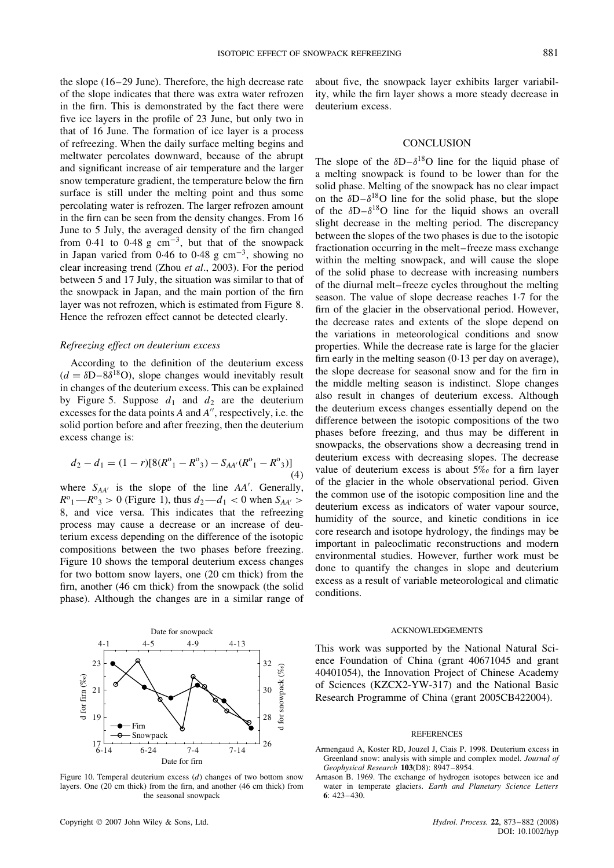the slope (16–29 June). Therefore, the high decrease rate of the slope indicates that there was extra water refrozen in the firn. This is demonstrated by the fact there were five ice layers in the profile of 23 June, but only two in that of 16 June. The formation of ice layer is a process of refreezing. When the daily surface melting begins and meltwater percolates downward, because of the abrupt and significant increase of air temperature and the larger snow temperature gradient, the temperature below the firn surface is still under the melting point and thus some percolating water is refrozen. The larger refrozen amount in the firn can be seen from the density changes. From 16 June to 5 July, the averaged density of the firn changed from 0.41 to 0.48 g  $cm^{-3}$ , but that of the snowpack in Japan varied from 0.46 to 0.48 g  $cm^{-3}$ , showing no clear increasing trend (Zhou *et al*., 2003). For the period between 5 and 17 July, the situation was similar to that of the snowpack in Japan, and the main portion of the firn layer was not refrozen, which is estimated from Figure 8. Hence the refrozen effect cannot be detected clearly.

## *Refreezing effect on deuterium excess*

According to the definition of the deuterium excess  $(d = \delta D - 8\delta^{18}O)$ , slope changes would inevitably result in changes of the deuterium excess. This can be explained by Figure 5. Suppose  $d_1$  and  $d_2$  are the deuterium excesses for the data points  $A$  and  $A''$ , respectively, i.e. the solid portion before and after freezing, then the deuterium excess change is:

$$
d_2 - d_1 = (1 - r)[8(R^{\circ}_1 - R^{\circ}_3) - S_{AA'}(R^{\circ}_1 - R^{\circ}_3)]
$$
\n(4)

where  $S_{AA'}$  is the slope of the line  $AA'$ . Generally,  $R^{\circ}$ <sub>1</sub> -  $R^{\circ}$ <sub>3</sub> > 0 (Figure 1), thus  $d_2$  -  $d_1$  < 0 when  $S_{AA'}$  > 8, and vice versa. This indicates that the refreezing process may cause a decrease or an increase of deuterium excess depending on the difference of the isotopic compositions between the two phases before freezing. Figure 10 shows the temporal deuterium excess changes for two bottom snow layers, one (20 cm thick) from the firn, another (46 cm thick) from the snowpack (the solid phase). Although the changes are in a similar range of



Figure 10. Temperal deuterium excess  $(d)$  changes of two bottom snow layers. One (20 cm thick) from the firn, and another (46 cm thick) from the seasonal snowpack

Copyright 2007 John Wiley & Sons, Ltd. *Hydrol. Process.* **22**, 873–882 (2008)

about five, the snowpack layer exhibits larger variability, while the firn layer shows a more steady decrease in deuterium excess.

#### **CONCLUSION**

The slope of the  $\delta D-\delta^{18}O$  line for the liquid phase of a melting snowpack is found to be lower than for the solid phase. Melting of the snowpack has no clear impact on the  $\delta D - \delta^{18}O$  line for the solid phase, but the slope of the  $\delta D - \delta^{18}O$  line for the liquid shows an overall slight decrease in the melting period. The discrepancy between the slopes of the two phases is due to the isotopic fractionation occurring in the melt–freeze mass exchange within the melting snowpack, and will cause the slope of the solid phase to decrease with increasing numbers of the diurnal melt–freeze cycles throughout the melting season. The value of slope decrease reaches 1.7 for the firn of the glacier in the observational period. However, the decrease rates and extents of the slope depend on the variations in meteorological conditions and snow properties. While the decrease rate is large for the glacier firn early in the melting season  $(0.13$  per day on average), the slope decrease for seasonal snow and for the firn in the middle melting season is indistinct. Slope changes also result in changes of deuterium excess. Although the deuterium excess changes essentially depend on the difference between the isotopic compositions of the two phases before freezing, and thus may be different in snowpacks, the observations show a decreasing trend in deuterium excess with decreasing slopes. The decrease value of deuterium excess is about 5‰ for a firn layer of the glacier in the whole observational period. Given the common use of the isotopic composition line and the deuterium excess as indicators of water vapour source, humidity of the source, and kinetic conditions in ice core research and isotope hydrology, the findings may be important in paleoclimatic reconstructions and modern environmental studies. However, further work must be done to quantify the changes in slope and deuterium excess as a result of variable meteorological and climatic conditions.

#### ACKNOWLEDGEMENTS

This work was supported by the National Natural Science Foundation of China (grant 40671045 and grant 40401054), the Innovation Project of Chinese Academy of Sciences (KZCX2-YW-317) and the National Basic Research Programme of China (grant 2005CB422004).

#### **REFERENCES**

Armengaud A, Koster RD, Jouzel J, Ciais P. 1998. Deuterium excess in Greenland snow: analysis with simple and complex model. *Journal of Geophysical Research* **103**(D8): 8947–8954.

Arnason B. 1969. The exchange of hydrogen isotopes between ice and water in temperate glaciers. *Earth and Planetary Science Letters* **6**: 423–430.